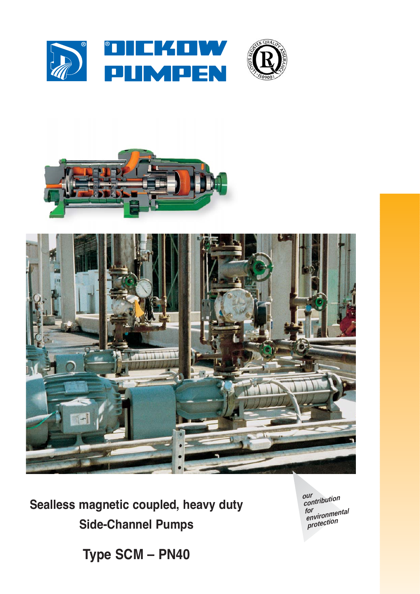





Sealless magnetic coupled, heavy duty **Side-Channel Pumps** 

our<br>contribution for<br>environmental<br>protection

Type SCM - PN40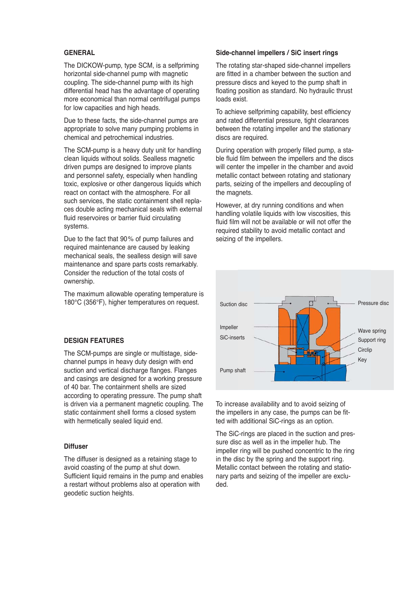### **GENERAL**

The DICKOW-pump, type SCM, is a selfpriming horizontal side-channel pump with magnetic coupling. The side-channel pump with its high differential head has the advantage of operating more economical than normal centrifugal pumps for low capacities and high heads.

Due to these facts, the side-channel pumps are appropriate to solve many pumping problems in chemical and petrochemical industries.

The SCM-pump is a heavy duty unit for handling clean liquids without solids. Sealless magnetic driven pumps are designed to improve plants and personnel safety, especially when handling toxic, explosive or other dangerous liquids which react on contact with the atmosphere. For all such services, the static containment shell replaces double acting mechanical seals with external fluid reservoires or barrier fluid circulating systems.

Due to the fact that 90% of pump failures and required maintenance are caused by leaking mechanical seals, the sealless design will save maintenance and spare parts costs remarkably. Consider the reduction of the total costs of ownership.

The maximum allowable operating temperature is 180°C (356°F), higher temperatures on request.

#### **DESIGN FEATURES**

The SCM-pumps are single or multistage, sidechannel pumps in heavy duty design with end suction and vertical discharge flanges. Flanges and casings are designed for a working pressure of 40 bar. The containment shells are sized according to operating pressure. The pump shaft is driven via a permanent magnetic coupling. The static containment shell forms a closed system with hermetically sealed liquid end.

#### **Diffuser**

The diffuser is designed as a retaining stage to avoid coasting of the pump at shut down. Sufficient liquid remains in the pump and enables a restart without problems also at operation with geodetic suction heights.

#### **Side-channel impellers / SiC insert rings**

The rotating star-shaped side-channel impellers are fitted in a chamber between the suction and pressure discs and keyed to the pump shaft in floating position as standard. No hydraulic thrust loads exist.

To achieve selfpriming capability, best efficiency and rated differential pressure, tight clearances between the rotating impeller and the stationary discs are required.

During operation with properly filled pump, a stable fluid film between the impellers and the discs will center the impeller in the chamber and avoid metallic contact between rotating and stationary parts, seizing of the impellers and decoupling of the magnets.

However, at dry running conditions and when handling volatile liquids with low viscosities, this fluid film will not be available or will not offer the required stability to avoid metallic contact and seizing of the impellers.



To increase availability and to avoid seizing of the impellers in any case, the pumps can be fitted with additional SiC-rings as an option.

The SiC-rings are placed in the suction and pressure disc as well as in the impeller hub. The impeller ring will be pushed concentric to the ring in the disc by the spring and the support ring. Metallic contact between the rotating and stationary parts and seizing of the impeller are excluded.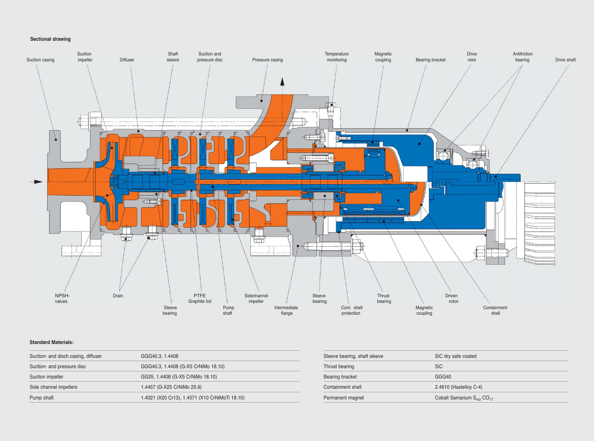## **Sectional drawing**

### **Standard Materials:**



| Suction- and disch.casing, diffuser | GGG40.3, 1.4408                                | Sleeve bearing, shaft sleeve | SiC dry safe coated      |
|-------------------------------------|------------------------------------------------|------------------------------|--------------------------|
| Suction- and pressure disc          | GGG40.3, 1.4408 (G-X5 CrNiMo 18.10)            | Thrust bearing               | <b>SiC</b>               |
| Suction impeller                    | GG25, 1.4408 (G-X5 CrNiMo 18.10)               | Bearing bracket              | GGG40                    |
| Side channel impellers              | 1.4457 (G-X25 CrNiMo 25.9)                     | Containment shell            | 2.4610 (Hastelloy C-4)   |
| Pump shaft                          | 1.4021 (X20 Cr13), 1.4571 (X10 CrNiMoTi 18.10) | Permanent magnet             | Cobalt Samarium $S_{m2}$ |
|                                     |                                                |                              |                          |

n S<sub>m2</sub> CO<sub>17</sub>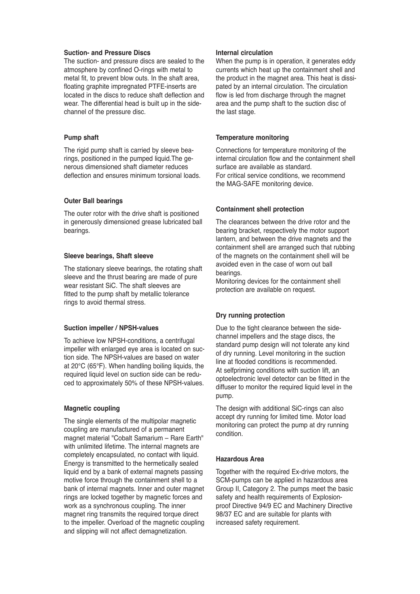### **Suction- and Pressure Discs**

The suction- and pressure discs are sealed to the atmosphere by confined O-rings with metal to metal fit, to prevent blow outs. In the shaft area, floating graphite impregnated PTFE-inserts are located in the discs to reduce shaft deflection and wear. The differential head is built up in the sidechannel of the pressure disc.

#### **Pump shaft**

The rigid pump shaft is carried by sleeve bearings, positioned in the pumped liquid.The generous dimensioned shaft diameter reduces deflection and ensures minimum torsional loads.

### **Outer Ball bearings**

The outer rotor with the drive shaft is positioned in generously dimensioned grease lubricated ball bearings.

#### **Sleeve bearings, Shaft sleeve**

The stationary sleeve bearings, the rotating shaft sleeve and the thrust bearing are made of pure wear resistant SiC. The shaft sleeves are fitted to the pump shaft by metallic tolerance rings to avoid thermal stress.

### **Suction impeller / NPSH-values**

To achieve low NPSH-conditions, a centrifugal impeller with enlarged eye area is located on suction side. The NPSH-values are based on water at 20°C (65°F). When handling boiling liquids, the required liquid level on suction side can be reduced to approximately 50% of these NPSH-values.

#### **Magnetic coupling**

The single elements of the multipolar magnetic coupling are manufactured of a permanent magnet material "Cobalt Samarium – Rare Earth" with unlimited lifetime. The internal magnets are completely encapsulated, no contact with liquid. Energy is transmitted to the hermetically sealed liquid end by a bank of external magnets passing motive force through the containment shell to a bank of internal magnets. Inner and outer magnet rings are locked together by magnetic forces and work as a synchronous coupling. The inner magnet ring transmits the required torque direct to the impeller. Overload of the magnetic coupling and slipping will not affect demagnetization.

#### **Internal circulation**

When the pump is in operation, it generates eddy currents which heat up the containment shell and the product in the magnet area. This heat is dissipated by an internal circulation. The circulation flow is led from discharge through the magnet area and the pump shaft to the suction disc of the last stage.

### **Temperature monitoring**

Connections for temperature monitoring of the internal circulation flow and the containment shell surface are available as standard. For critical service conditions, we recommend the MAG-SAFE monitoring device.

## **Containment shell protection**

The clearances between the drive rotor and the bearing bracket, respectively the motor support lantern, and between the drive magnets and the containment shell are arranged such that rubbing of the magnets on the containment shell will be avoided even in the case of worn out ball bearings.

Monitoring devices for the containment shell protection are available on request.

## **Dry running protection**

Due to the tight clearance between the sidechannel impellers and the stage discs, the standard pump design will not tolerate any kind of dry running. Level monitoring in the suction line at flooded conditions is recommended. At selfpriming conditions with suction lift, an optoelectronic level detector can be fitted in the diffuser to monitor the required liquid level in the pump.

The design with additional SiC-rings can also accept dry running for limited time. Motor load monitoring can protect the pump at dry running condition.

## **Hazardous Area**

Together with the required Ex-drive motors, the SCM-pumps can be applied in hazardous area Group II, Category 2. The pumps meet the basic safety and health requirements of Explosionproof Directive 94/9 EC and Machinery Directive 98/37 EC and are suitable for plants with increased safety requirement.